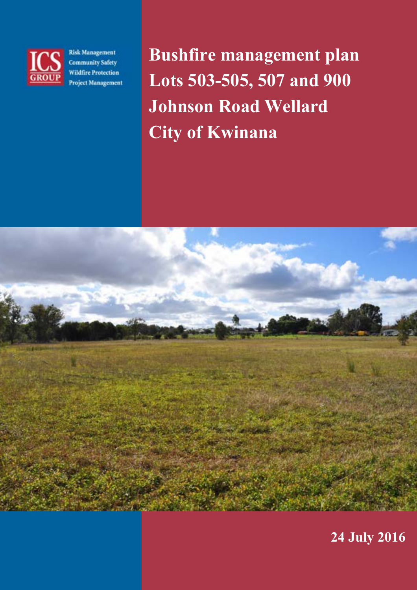

**Risk Management Community Safety Wildfire Protection Project Management**  Bushfire management plan Lots 503-505, 507 and 900 Johnson Road Wellard City of Kwinana



24 July 2016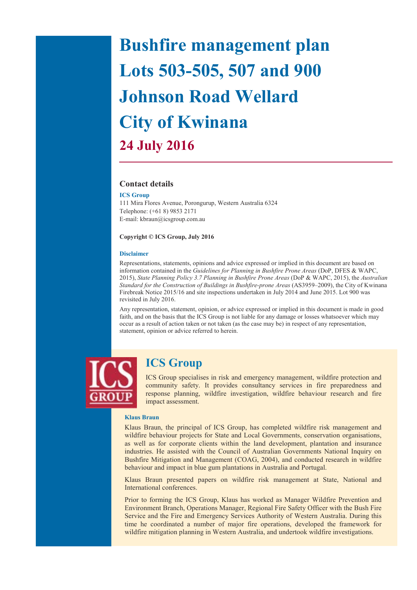# Bushfire management plan Lots 503-505, 507 and 900 Johnson Road Wellard City of Kwinana 24 July 2016

#### Contact details

#### ICS Group

111 Mira Flores Avenue, Porongurup, Western Australia 6324 Telephone: (+61 8) 9853 2171 E-mail: kbraun@icsgroup.com.au

#### Copyright © ICS Group, July 2016

#### Disclaimer

Representations, statements, opinions and advice expressed or implied in this document are based on information contained in the Guidelines for Planning in Bushfire Prone Areas (DoP, DFES & WAPC, 2015), State Planning Policy 3.7 Planning in Bushfire Prone Areas (DoP & WAPC, 2015), the Australian Standard for the Construction of Buildings in Bushfire-prone Areas (AS3959–2009), the City of Kwinana Firebreak Notice 2015/16 and site inspections undertaken in July 2014 and June 2015. Lot 900 was revisited in July 2016.

Any representation, statement, opinion, or advice expressed or implied in this document is made in good faith, and on the basis that the ICS Group is not liable for any damage or losses whatsoever which may occur as a result of action taken or not taken (as the case may be) in respect of any representation, statement, opinion or advice referred to herein.



### ICS Group

ICS Group specialises in risk and emergency management, wildfire protection and community safety. It provides consultancy services in fire preparedness and response planning, wildfire investigation, wildfire behaviour research and fire impact assessment.

#### Klaus Braun

Klaus Braun, the principal of ICS Group, has completed wildfire risk management and wildfire behaviour projects for State and Local Governments, conservation organisations, as well as for corporate clients within the land development, plantation and insurance industries. He assisted with the Council of Australian Governments National Inquiry on Bushfire Mitigation and Management (COAG, 2004), and conducted research in wildfire behaviour and impact in blue gum plantations in Australia and Portugal.

Klaus Braun presented papers on wildfire risk management at State, National and International conferences.

Prior to forming the ICS Group, Klaus has worked as Manager Wildfire Prevention and Environment Branch, Operations Manager, Regional Fire Safety Officer with the Bush Fire Service and the Fire and Emergency Services Authority of Western Australia. During this time he coordinated a number of major fire operations, developed the framework for wildfire mitigation planning in Western Australia, and undertook wildfire investigations.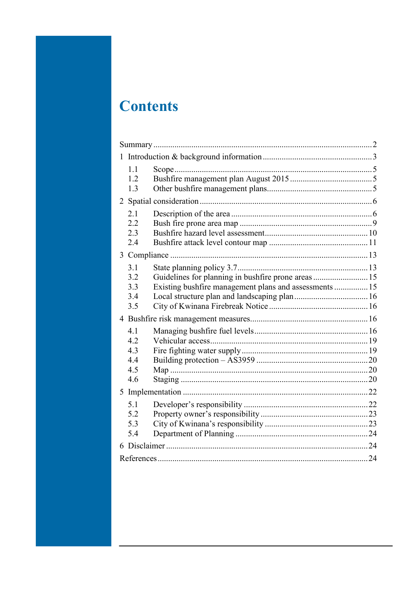## **Contents**

| 1 |     |                                                        |  |  |
|---|-----|--------------------------------------------------------|--|--|
|   | 1.1 |                                                        |  |  |
|   | 1.2 |                                                        |  |  |
|   | 1.3 |                                                        |  |  |
|   |     |                                                        |  |  |
|   | 2.1 |                                                        |  |  |
|   | 2.2 |                                                        |  |  |
|   | 2.3 |                                                        |  |  |
|   | 2.4 |                                                        |  |  |
|   |     |                                                        |  |  |
|   | 3.1 |                                                        |  |  |
|   | 3.2 | Guidelines for planning in bushfire prone areas 15     |  |  |
|   | 3.3 | Existing bushfire management plans and assessments  15 |  |  |
|   | 3.4 |                                                        |  |  |
|   | 3.5 |                                                        |  |  |
|   |     |                                                        |  |  |
|   | 4.1 |                                                        |  |  |
|   | 4.2 |                                                        |  |  |
|   | 4.3 |                                                        |  |  |
|   | 4.4 |                                                        |  |  |
|   | 4.5 |                                                        |  |  |
|   | 4.6 |                                                        |  |  |
|   |     |                                                        |  |  |
|   | 5.1 |                                                        |  |  |
|   | 5.2 |                                                        |  |  |
|   | 5.3 |                                                        |  |  |
|   | 5.4 |                                                        |  |  |
|   |     |                                                        |  |  |
|   |     |                                                        |  |  |
|   |     |                                                        |  |  |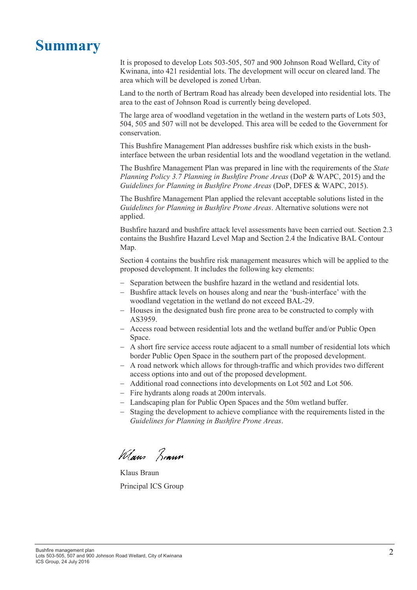## **Summary**

It is proposed to develop Lots 503-505, 507 and 900 Johnson Road Wellard, City of Kwinana, into 421 residential lots. The development will occur on cleared land. The area which will be developed is zoned Urban.

Land to the north of Bertram Road has already been developed into residential lots. The area to the east of Johnson Road is currently being developed.

The large area of woodland vegetation in the wetland in the western parts of Lots 503, 504, 505 and 507 will not be developed. This area will be ceded to the Government for conservation.

This Bushfire Management Plan addresses bushfire risk which exists in the bushinterface between the urban residential lots and the woodland vegetation in the wetland.

The Bushfire Management Plan was prepared in line with the requirements of the State Planning Policy 3.7 Planning in Bushfire Prone Areas (DoP & WAPC, 2015) and the Guidelines for Planning in Bushfire Prone Areas (DoP, DFES & WAPC, 2015).

The Bushfire Management Plan applied the relevant acceptable solutions listed in the Guidelines for Planning in Bushfire Prone Areas. Alternative solutions were not applied.

Bushfire hazard and bushfire attack level assessments have been carried out. Section 2.3 contains the Bushfire Hazard Level Map and Section 2.4 the Indicative BAL Contour Map.

Section 4 contains the bushfire risk management measures which will be applied to the proposed development. It includes the following key elements:

- Separation between the bushfire hazard in the wetland and residential lots.
- − Bushfire attack levels on houses along and near the 'bush-interface' with the woodland vegetation in the wetland do not exceed BAL-29.
- − Houses in the designated bush fire prone area to be constructed to comply with AS3959.
- − Access road between residential lots and the wetland buffer and/or Public Open Space.
- − A short fire service access route adjacent to a small number of residential lots which border Public Open Space in the southern part of the proposed development.
- − A road network which allows for through-traffic and which provides two different access options into and out of the proposed development.
- − Additional road connections into developments on Lot 502 and Lot 506.
- − Fire hydrants along roads at 200m intervals.
- − Landscaping plan for Public Open Spaces and the 50m wetland buffer.
- − Staging the development to achieve compliance with the requirements listed in the Guidelines for Planning in Bushfire Prone Areas.

Ways Bonner

Klaus Braun Principal ICS Group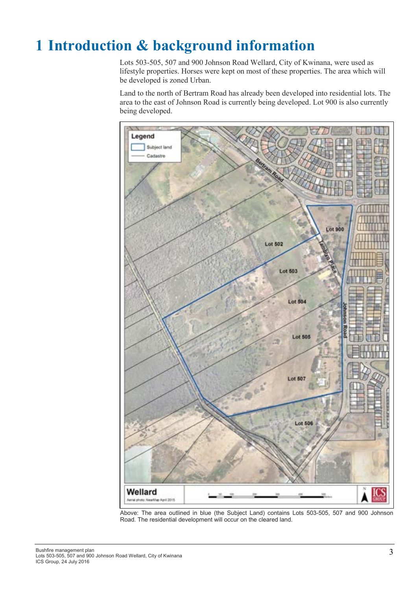## 1 Introduction & background information

Lots 503-505, 507 and 900 Johnson Road Wellard, City of Kwinana, were used as lifestyle properties. Horses were kept on most of these properties. The area which will be developed is zoned Urban.

Land to the north of Bertram Road has already been developed into residential lots. The area to the east of Johnson Road is currently being developed. Lot 900 is also currently being developed.



Above: The area outlined in blue (the Subject Land) contains Lots 503-505, 507 and 900 Johnson Road. The residential development will occur on the cleared land.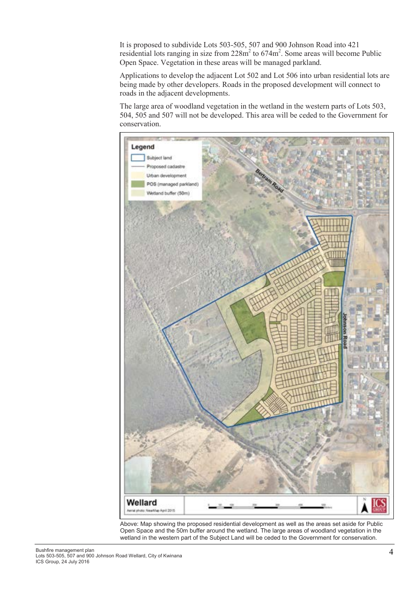It is proposed to subdivide Lots 503-505, 507 and 900 Johnson Road into 421 residential lots ranging in size from  $228m^2$  to  $674m^2$ . Some areas will become Public Open Space. Vegetation in these areas will be managed parkland.

Applications to develop the adjacent Lot 502 and Lot 506 into urban residential lots are being made by other developers. Roads in the proposed development will connect to roads in the adjacent developments.

The large area of woodland vegetation in the wetland in the western parts of Lots 503, 504, 505 and 507 will not be developed. This area will be ceded to the Government for conservation.



Above: Map showing the proposed residential development as well as the areas set aside for Public Open Space and the 50m buffer around the wetland. The large areas of woodland vegetation in the wetland in the western part of the Subject Land will be ceded to the Government for conservation.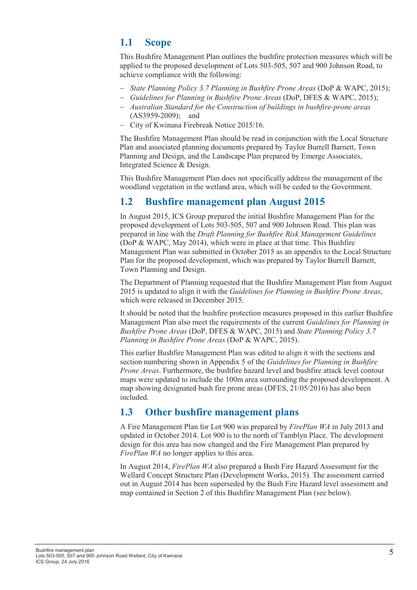### 1.1 Scope

This Bushfire Management Plan outlines the bushfire protection measures which will be applied to the proposed development of Lots 503-505, 507 and 900 Johnson Road, to achieve compliance with the following:

- − State Planning Policy 3.7 Planning in Bushfire Prone Areas (DoP & WAPC, 2015);
- − Guidelines for Planning in Bushfire Prone Areas (DoP, DFES & WAPC, 2015);
- − Australian Standard for the Construction of buildings in bushfire-prone areas (AS3959-2009); and
- − City of Kwinana Firebreak Notice 2015/16.

The Bushfire Management Plan should be read in conjunction with the Local Structure Plan and associated planning documents prepared by Taylor Burrell Barnett, Town Planning and Design, and the Landscape Plan prepared by Emerge Associates, Integrated Science & Design.

This Bushfire Management Plan does not specifically address the management of the woodland vegetation in the wetland area, which will be ceded to the Government.

### 1.2 Bushfire management plan August 2015

In August 2015, ICS Group prepared the initial Bushfire Management Plan for the proposed development of Lots 503-505, 507 and 900 Johnson Road. This plan was prepared in line with the Draft Planning for Bushfire Risk Management Guidelines (DoP & WAPC, May 2014), which were in place at that time. This Bushfire Management Plan was submitted in October 2015 as an appendix to the Local Structure Plan for the proposed development, which was prepared by Taylor Burrell Barnett, Town Planning and Design.

The Department of Planning requested that the Bushfire Management Plan from August 2015 is updated to align it with the Guidelines for Planning in Bushfire Prone Areas, which were released in December 2015.

It should be noted that the bushfire protection measures proposed in this earlier Bushfire Management Plan also meet the requirements of the current Guidelines for Planning in Bushfire Prone Areas (DoP, DFES & WAPC, 2015) and State Planning Policy 3.7 Planning in Bushfire Prone Areas (DoP & WAPC, 2015).

This earlier Bushfire Management Plan was edited to align it with the sections and section numbering shown in Appendix 5 of the Guidelines for Planning in Bushfire Prone Areas. Furthermore, the bushfire hazard level and bushfire attack level contour maps were updated to include the 100m area surrounding the proposed development. A map showing designated bush fire prone areas (DFES, 21/05/2016) has also been included.

### 1.3 Other bushfire management plans

A Fire Management Plan for Lot 900 was prepared by FirePlan WA in July 2013 and updated in October 2014. Lot 900 is to the north of Tamblyn Place. The development design for this area has now changed and the Fire Management Plan prepared by FirePlan WA no longer applies to this area.

In August 2014, FirePlan WA also prepared a Bush Fire Hazard Assessment for the Wellard Concept Structure Plan (Development Works, 2015). The assessment carried out in August 2014 has been superseded by the Bush Fire Hazard level assessment and map contained in Section 2 of this Bushfire Management Plan (see below).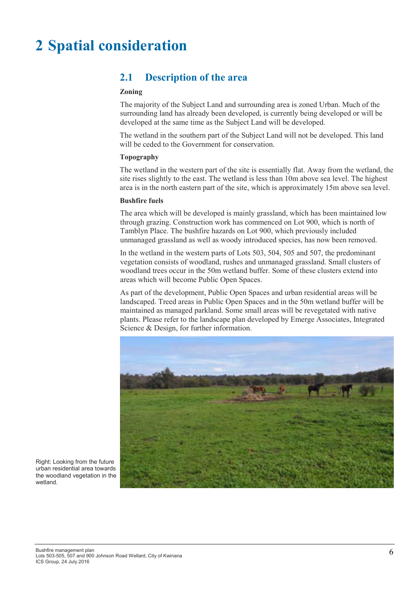## 2 Spatial consideration

### 2.1 Description of the area

#### Zoning

The majority of the Subject Land and surrounding area is zoned Urban. Much of the surrounding land has already been developed, is currently being developed or will be developed at the same time as the Subject Land will be developed.

The wetland in the southern part of the Subject Land will not be developed. This land will be ceded to the Government for conservation.

#### Topography

The wetland in the western part of the site is essentially flat. Away from the wetland, the site rises slightly to the east. The wetland is less than 10m above sea level. The highest area is in the north eastern part of the site, which is approximately 15m above sea level.

#### Bushfire fuels

The area which will be developed is mainly grassland, which has been maintained low through grazing. Construction work has commenced on Lot 900, which is north of Tamblyn Place. The bushfire hazards on Lot 900, which previously included unmanaged grassland as well as woody introduced species, has now been removed.

In the wetland in the western parts of Lots 503, 504, 505 and 507, the predominant vegetation consists of woodland, rushes and unmanaged grassland. Small clusters of woodland trees occur in the 50m wetland buffer. Some of these clusters extend into areas which will become Public Open Spaces.

As part of the development, Public Open Spaces and urban residential areas will be landscaped. Treed areas in Public Open Spaces and in the 50m wetland buffer will be maintained as managed parkland. Some small areas will be revegetated with native plants. Please refer to the landscape plan developed by Emerge Associates, Integrated Science & Design, for further information.



Right: Looking from the future urban residential area towards the woodland vegetation in the wetland.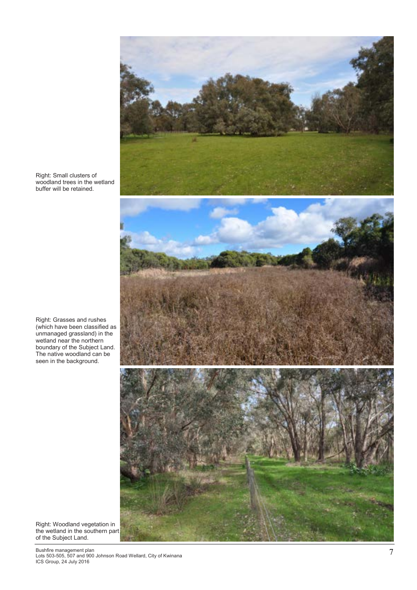

Right: Small clusters of woodland trees in the wetland buffer will be retained.

Right: Grasses and rushes (which have been classified as unmanaged grassland) in the wetland near the northern boundary of the Subject Land. The native woodland can be seen in the background.

Right: Woodland vegetation in the wetland in the southern part of the Subject Land.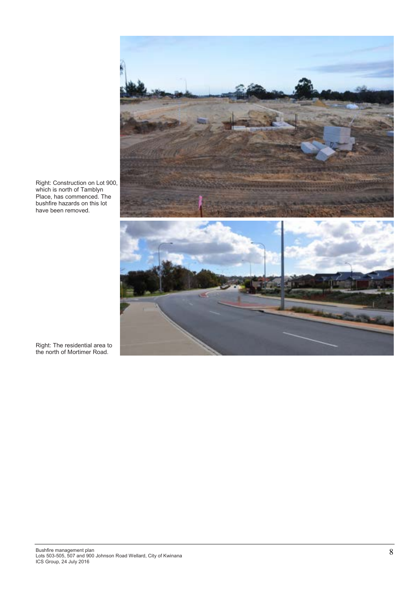

Right: Construction on Lot 900, which is north of Tamblyn Place, has commenced. The bushfire hazards on this lot have been removed.

Right: The residential area to the north of Mortimer Road.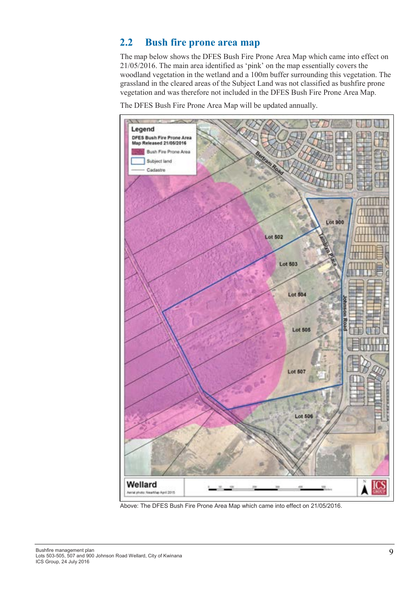### 2.2 Bush fire prone area map

The map below shows the DFES Bush Fire Prone Area Map which came into effect on 21/05/2016. The main area identified as 'pink' on the map essentially covers the woodland vegetation in the wetland and a 100m buffer surrounding this vegetation. The grassland in the cleared areas of the Subject Land was not classified as bushfire prone vegetation and was therefore not included in the DFES Bush Fire Prone Area Map.

The DFES Bush Fire Prone Area Map will be updated annually.



Above: The DFES Bush Fire Prone Area Map which came into effect on 21/05/2016.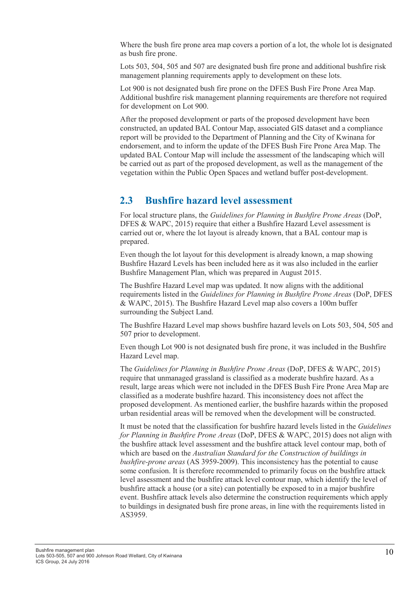Where the bush fire prone area map covers a portion of a lot, the whole lot is designated as bush fire prone.

Lots 503, 504, 505 and 507 are designated bush fire prone and additional bushfire risk management planning requirements apply to development on these lots.

Lot 900 is not designated bush fire prone on the DFES Bush Fire Prone Area Map. Additional bushfire risk management planning requirements are therefore not required for development on Lot 900.

After the proposed development or parts of the proposed development have been constructed, an updated BAL Contour Map, associated GIS dataset and a compliance report will be provided to the Department of Planning and the City of Kwinana for endorsement, and to inform the update of the DFES Bush Fire Prone Area Map. The updated BAL Contour Map will include the assessment of the landscaping which will be carried out as part of the proposed development, as well as the management of the vegetation within the Public Open Spaces and wetland buffer post-development.

### 2.3 Bushfire hazard level assessment

For local structure plans, the Guidelines for Planning in Bushfire Prone Areas (DoP, DFES & WAPC, 2015) require that either a Bushfire Hazard Level assessment is carried out or, where the lot layout is already known, that a BAL contour map is prepared.

Even though the lot layout for this development is already known, a map showing Bushfire Hazard Levels has been included here as it was also included in the earlier Bushfire Management Plan, which was prepared in August 2015.

The Bushfire Hazard Level map was updated. It now aligns with the additional requirements listed in the Guidelines for Planning in Bushfire Prone Areas (DoP, DFES & WAPC, 2015). The Bushfire Hazard Level map also covers a 100m buffer surrounding the Subject Land.

The Bushfire Hazard Level map shows bushfire hazard levels on Lots 503, 504, 505 and 507 prior to development.

Even though Lot 900 is not designated bush fire prone, it was included in the Bushfire Hazard Level map.

The Guidelines for Planning in Bushfire Prone Areas (DoP, DFES & WAPC, 2015) require that unmanaged grassland is classified as a moderate bushfire hazard. As a result, large areas which were not included in the DFES Bush Fire Prone Area Map are classified as a moderate bushfire hazard. This inconsistency does not affect the proposed development. As mentioned earlier, the bushfire hazards within the proposed urban residential areas will be removed when the development will be constructed.

It must be noted that the classification for bushfire hazard levels listed in the Guidelines for Planning in Bushfire Prone Areas (DoP, DFES & WAPC, 2015) does not align with the bushfire attack level assessment and the bushfire attack level contour map, both of which are based on the Australian Standard for the Construction of buildings in bushfire-prone areas (AS 3959-2009). This inconsistency has the potential to cause some confusion. It is therefore recommended to primarily focus on the bushfire attack level assessment and the bushfire attack level contour map, which identify the level of bushfire attack a house (or a site) can potentially be exposed to in a major bushfire event. Bushfire attack levels also determine the construction requirements which apply to buildings in designated bush fire prone areas, in line with the requirements listed in AS3959.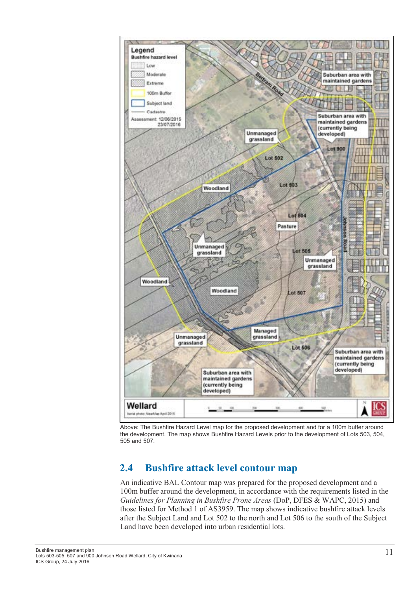

Above: The Bushfire Hazard Level map for the proposed development and for a 100m buffer around the development. The map shows Bushfire Hazard Levels prior to the development of Lots 503, 504, 505 and 507.

### 2.4 Bushfire attack level contour map

An indicative BAL Contour map was prepared for the proposed development and a 100m buffer around the development, in accordance with the requirements listed in the Guidelines for Planning in Bushfire Prone Areas (DoP, DFES & WAPC, 2015) and those listed for Method 1 of AS3959. The map shows indicative bushfire attack levels after the Subject Land and Lot 502 to the north and Lot 506 to the south of the Subject Land have been developed into urban residential lots.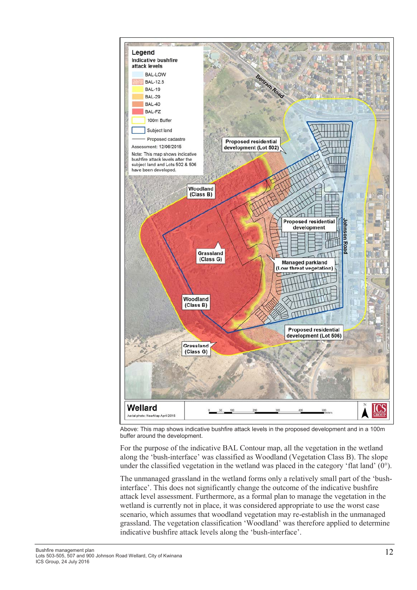

Above: This map shows indicative bushfire attack levels in the proposed development and in a 100m buffer around the development.

For the purpose of the indicative BAL Contour map, all the vegetation in the wetland along the 'bush-interface' was classified as Woodland (Vegetation Class B). The slope under the classified vegetation in the wetland was placed in the category 'flat land'  $(0^{\circ})$ .

The unmanaged grassland in the wetland forms only a relatively small part of the 'bushinterface'. This does not significantly change the outcome of the indicative bushfire attack level assessment. Furthermore, as a formal plan to manage the vegetation in the wetland is currently not in place, it was considered appropriate to use the worst case scenario, which assumes that woodland vegetation may re-establish in the unmanaged grassland. The vegetation classification 'Woodland' was therefore applied to determine indicative bushfire attack levels along the 'bush-interface'.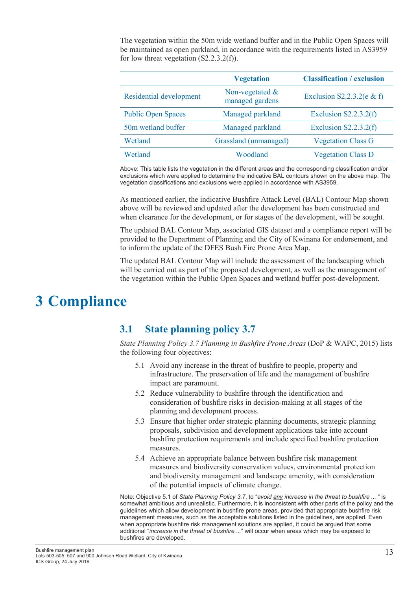The vegetation within the 50m wide wetland buffer and in the Public Open Spaces will be maintained as open parkland, in accordance with the requirements listed in AS3959 for low threat vegetation  $(S2.2.3.2(f))$ .

|                           | <b>Vegetation</b>                     | <b>Classification / exclusion</b> |
|---------------------------|---------------------------------------|-----------------------------------|
| Residential development   | Non-vegetated $\&$<br>managed gardens | Exclusion S2.2.3.2( $e \& f$ )    |
| <b>Public Open Spaces</b> | Managed parkland                      | Exclusion $S2.2.3.2(f)$           |
| 50m wetland buffer        | Managed parkland                      | Exclusion $S2.2.3.2(f)$           |
| Wetland                   | Grassland (unmanaged)                 | <b>Vegetation Class G</b>         |
| Wetland                   | Woodland                              | <b>Vegetation Class D</b>         |

Above: This table lists the vegetation in the different areas and the corresponding classification and/or exclusions which were applied to determine the indicative BAL contours shown on the above map. The vegetation classifications and exclusions were applied in accordance with AS3959.

As mentioned earlier, the indicative Bushfire Attack Level (BAL) Contour Map shown above will be reviewed and updated after the development has been constructed and when clearance for the development, or for stages of the development, will be sought.

The updated BAL Contour Map, associated GIS dataset and a compliance report will be provided to the Department of Planning and the City of Kwinana for endorsement, and to inform the update of the DFES Bush Fire Prone Area Map.

The updated BAL Contour Map will include the assessment of the landscaping which will be carried out as part of the proposed development, as well as the management of the vegetation within the Public Open Spaces and wetland buffer post-development.

## 3 Compliance

### 3.1 State planning policy 3.7

State Planning Policy 3.7 Planning in Bushfire Prone Areas (DoP & WAPC, 2015) lists the following four objectives:

- 5.1 Avoid any increase in the threat of bushfire to people, property and infrastructure. The preservation of life and the management of bushfire impact are paramount.
- 5.2 Reduce vulnerability to bushfire through the identification and consideration of bushfire risks in decision-making at all stages of the planning and development process.
- 5.3 Ensure that higher order strategic planning documents, strategic planning proposals, subdivision and development applications take into account bushfire protection requirements and include specified bushfire protection measures.
- 5.4 Achieve an appropriate balance between bushfire risk management measures and biodiversity conservation values, environmental protection and biodiversity management and landscape amenity, with consideration of the potential impacts of climate change.

Note: Objective 5.1 of State Planning Policy 3.7, to "avoid any increase in the threat to bushfire ... " is somewhat ambitious and unrealistic. Furthermore, it is inconsistent with other parts of the policy and the guidelines which allow development in bushfire prone areas, provided that appropriate bushfire risk management measures, such as the acceptable solutions listed in the guidelines, are applied. Even when appropriate bushfire risk management solutions are applied, it could be argued that some additional "increase in the threat of bushfire ..." will occur when areas which may be exposed to bushfires are developed.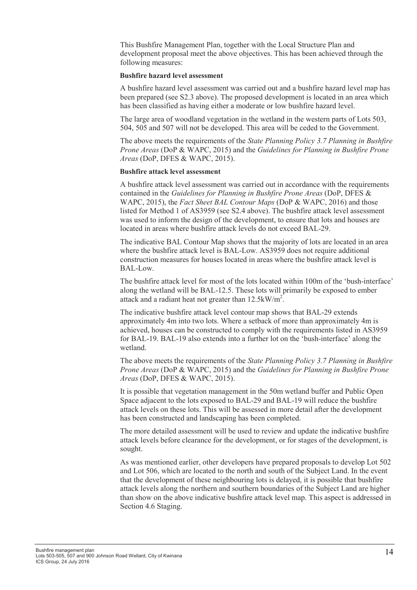This Bushfire Management Plan, together with the Local Structure Plan and development proposal meet the above objectives. This has been achieved through the following measures:

#### Bushfire hazard level assessment

A bushfire hazard level assessment was carried out and a bushfire hazard level map has been prepared (see S2.3 above). The proposed development is located in an area which has been classified as having either a moderate or low bushfire hazard level.

The large area of woodland vegetation in the wetland in the western parts of Lots 503, 504, 505 and 507 will not be developed. This area will be ceded to the Government.

The above meets the requirements of the *State Planning Policy 3.7 Planning in Bushfire* Prone Areas (DoP & WAPC, 2015) and the Guidelines for Planning in Bushfire Prone Areas (DoP, DFES & WAPC, 2015).

#### Bushfire attack level assessment

A bushfire attack level assessment was carried out in accordance with the requirements contained in the Guidelines for Planning in Bushfire Prone Areas (DoP, DFES & WAPC, 2015), the *Fact Sheet BAL Contour Maps* (DoP & WAPC, 2016) and those listed for Method 1 of AS3959 (see S2.4 above). The bushfire attack level assessment was used to inform the design of the development, to ensure that lots and houses are located in areas where bushfire attack levels do not exceed BAL-29.

The indicative BAL Contour Map shows that the majority of lots are located in an area where the bushfire attack level is BAL-Low. AS3959 does not require additional construction measures for houses located in areas where the bushfire attack level is BAL-Low.

The bushfire attack level for most of the lots located within 100m of the 'bush-interface' along the wetland will be BAL-12.5. These lots will primarily be exposed to ember attack and a radiant heat not greater than  $12.5 \text{kW/m}^2$ .

The indicative bushfire attack level contour map shows that BAL-29 extends approximately 4m into two lots. Where a setback of more than approximately 4m is achieved, houses can be constructed to comply with the requirements listed in AS3959 for BAL-19. BAL-19 also extends into a further lot on the 'bush-interface' along the wetland.

The above meets the requirements of the *State Planning Policy 3.7 Planning in Bushfire* Prone Areas (DoP & WAPC, 2015) and the Guidelines for Planning in Bushfire Prone Areas (DoP, DFES & WAPC, 2015).

It is possible that vegetation management in the 50m wetland buffer and Public Open Space adjacent to the lots exposed to BAL-29 and BAL-19 will reduce the bushfire attack levels on these lots. This will be assessed in more detail after the development has been constructed and landscaping has been completed.

The more detailed assessment will be used to review and update the indicative bushfire attack levels before clearance for the development, or for stages of the development, is sought.

As was mentioned earlier, other developers have prepared proposals to develop Lot 502 and Lot 506, which are located to the north and south of the Subject Land. In the event that the development of these neighbouring lots is delayed, it is possible that bushfire attack levels along the northern and southern boundaries of the Subject Land are higher than show on the above indicative bushfire attack level map. This aspect is addressed in Section 4.6 Staging.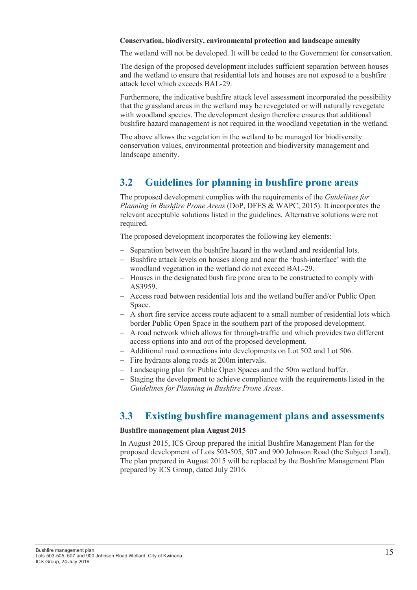#### Conservation, biodiversity, environmental protection and landscape amenity

The wetland will not be developed. It will be ceded to the Government for conservation.

The design of the proposed development includes sufficient separation between houses and the wetland to ensure that residential lots and houses are not exposed to a bushfire attack level which exceeds BAL-29.

Furthermore, the indicative bushfire attack level assessment incorporated the possibility that the grassland areas in the wetland may be revegetated or will naturally revegetate with woodland species. The development design therefore ensures that additional bushfire hazard management is not required in the woodland vegetation in the wetland.

The above allows the vegetation in the wetland to be managed for biodiversity conservation values, environmental protection and biodiversity management and landscape amenity.

### 3.2 Guidelines for planning in bushfire prone areas

The proposed development complies with the requirements of the *Guidelines for* Planning in Bushfire Prone Areas (DoP, DFES & WAPC, 2015). It incorporates the relevant acceptable solutions listed in the guidelines. Alternative solutions were not required.

The proposed development incorporates the following key elements:

- − Separation between the bushfire hazard in the wetland and residential lots.
- − Bushfire attack levels on houses along and near the 'bush-interface' with the woodland vegetation in the wetland do not exceed BAL-29.
- − Houses in the designated bush fire prone area to be constructed to comply with AS3959.
- − Access road between residential lots and the wetland buffer and/or Public Open **Space**
- − A short fire service access route adjacent to a small number of residential lots which border Public Open Space in the southern part of the proposed development.
- − A road network which allows for through-traffic and which provides two different access options into and out of the proposed development.
- − Additional road connections into developments on Lot 502 and Lot 506.
- − Fire hydrants along roads at 200m intervals.
- − Landscaping plan for Public Open Spaces and the 50m wetland buffer.
- − Staging the development to achieve compliance with the requirements listed in the Guidelines for Planning in Bushfire Prone Areas.

### 3.3 Existing bushfire management plans and assessments

#### Bushfire management plan August 2015

In August 2015, ICS Group prepared the initial Bushfire Management Plan for the proposed development of Lots 503-505, 507 and 900 Johnson Road (the Subject Land). The plan prepared in August 2015 will be replaced by the Bushfire Management Plan prepared by ICS Group, dated July 2016.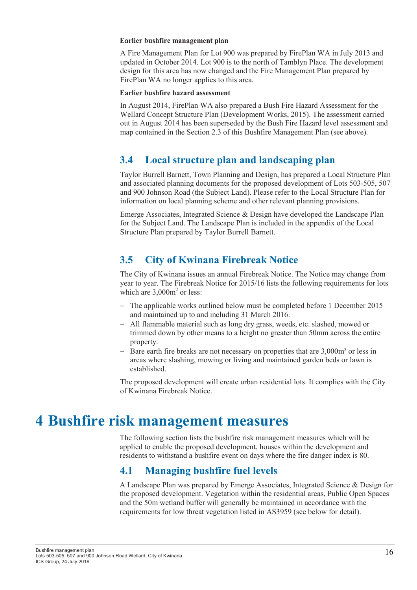#### Earlier bushfire management plan

A Fire Management Plan for Lot 900 was prepared by FirePlan WA in July 2013 and updated in October 2014. Lot 900 is to the north of Tamblyn Place. The development design for this area has now changed and the Fire Management Plan prepared by FirePlan WA no longer applies to this area.

#### Earlier bushfire hazard assessment

In August 2014, FirePlan WA also prepared a Bush Fire Hazard Assessment for the Wellard Concept Structure Plan (Development Works, 2015). The assessment carried out in August 2014 has been superseded by the Bush Fire Hazard level assessment and map contained in the Section 2.3 of this Bushfire Management Plan (see above).

### 3.4 Local structure plan and landscaping plan

Taylor Burrell Barnett, Town Planning and Design, has prepared a Local Structure Plan and associated planning documents for the proposed development of Lots 503-505, 507 and 900 Johnson Road (the Subject Land). Please refer to the Local Structure Plan for information on local planning scheme and other relevant planning provisions.

Emerge Associates, Integrated Science & Design have developed the Landscape Plan for the Subject Land. The Landscape Plan is included in the appendix of the Local Structure Plan prepared by Taylor Burrell Barnett.

### 3.5 City of Kwinana Firebreak Notice

The City of Kwinana issues an annual Firebreak Notice. The Notice may change from year to year. The Firebreak Notice for 2015/16 lists the following requirements for lots which are  $3,000m^2$  or less:

- The applicable works outlined below must be completed before 1 December 2015 and maintained up to and including 31 March 2016.
- − All flammable material such as long dry grass, weeds, etc. slashed, mowed or trimmed down by other means to a height no greater than 50mm across the entire property.
- − Bare earth fire breaks are not necessary on properties that are 3,000m² or less in areas where slashing, mowing or living and maintained garden beds or lawn is established.

The proposed development will create urban residential lots. It complies with the City of Kwinana Firebreak Notice.

## 4 Bushfire risk management measures

The following section lists the bushfire risk management measures which will be applied to enable the proposed development, houses within the development and residents to withstand a bushfire event on days where the fire danger index is 80.

### 4.1 Managing bushfire fuel levels

A Landscape Plan was prepared by Emerge Associates, Integrated Science & Design for the proposed development. Vegetation within the residential areas, Public Open Spaces and the 50m wetland buffer will generally be maintained in accordance with the requirements for low threat vegetation listed in AS3959 (see below for detail).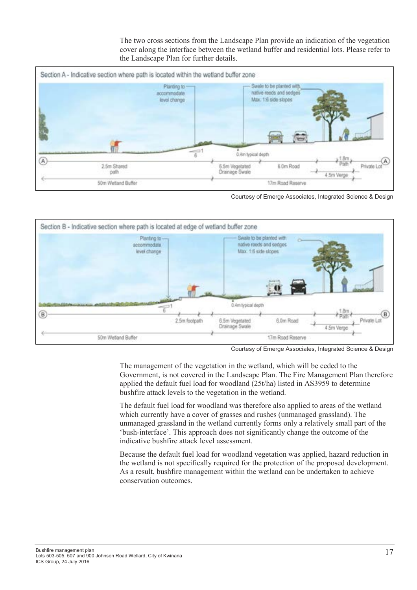The two cross sections from the Landscape Plan provide an indication of the vegetation cover along the interface between the wetland buffer and residential lots. Please refer to the Landscape Plan for further details.



Courtesy of Emerge Associates, Integrated Science & Design



Courtesy of Emerge Associates, Integrated Science & Design

The management of the vegetation in the wetland, which will be ceded to the Government, is not covered in the Landscape Plan. The Fire Management Plan therefore applied the default fuel load for woodland (25t/ha) listed in AS3959 to determine bushfire attack levels to the vegetation in the wetland.

The default fuel load for woodland was therefore also applied to areas of the wetland which currently have a cover of grasses and rushes (unmanaged grassland). The unmanaged grassland in the wetland currently forms only a relatively small part of the 'bush-interface'. This approach does not significantly change the outcome of the indicative bushfire attack level assessment.

Because the default fuel load for woodland vegetation was applied, hazard reduction in the wetland is not specifically required for the protection of the proposed development. As a result, bushfire management within the wetland can be undertaken to achieve conservation outcomes.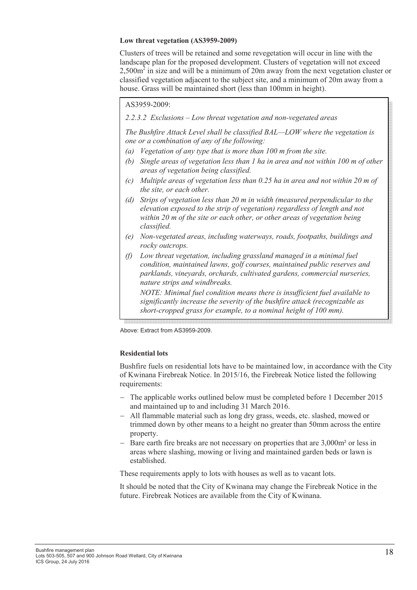#### Low threat vegetation (AS3959-2009)

Clusters of trees will be retained and some revegetation will occur in line with the landscape plan for the proposed development. Clusters of vegetation will not exceed  $2,500m<sup>2</sup>$  in size and will be a minimum of 20m away from the next vegetation cluster or classified vegetation adjacent to the subject site, and a minimum of 20m away from a house. Grass will be maintained short (less than 100mm in height).

### AS3959-2009: **AS3959-2009:**

 $\mathbb{L}$  and  $\mathbb{L}$  below). 2.2.3.2 Exclusions – Low threat vegetation and non-vegetated areas

The Bushfire Attack Level shall be classified BAL—LOW where the vegetation is one or a combination of any of the following:

- (a) Vegetation of any type that is more than 100 m from the site.
- (b) Single areas of vegetation less than 1 ha in area and not within 100 m of other areas of vegetation being classified.
- (c) Multiple areas of vegetation less than 0.25 ha in area and not within 20 m of the site, or each other.
- (d) Strips of vegetation less than 20 m in width (measured perpendicular to the elevation exposed to the strip of vegetation) regardless of length and not within 20 m of the site or each other, or other areas of vegetation being classified.
- (e) Non-vegetated areas, including waterways, roads, footpaths, buildings and rocky outcrops.
- (f) Low threat vegetation, including grassland managed in a minimal fuel condition, maintained lawns, golf courses, maintained public reserves and parklands, vineyards, orchards, cultivated gardens, commercial nurseries, nature strips and windbreaks.

NOTE: Minimal fuel condition means there is insufficient fuel available to significantly increase the severity of the bushfire attack (recognizable as short-cropped grass for example, to a nominal height of 100 mm).

Above: Extract from AS3959-2009.

#### Residential lots

Bushfire fuels on residential lots have to be maintained low, in accordance with the City of Kwinana Firebreak Notice. In 2015/16, the Firebreak Notice listed the following requirements:

- − The applicable works outlined below must be completed before 1 December 2015 and maintained up to and including 31 March 2016.
- − All flammable material such as long dry grass, weeds, etc. slashed, mowed or trimmed down by other means to a height no greater than 50mm across the entire property.
- − Bare earth fire breaks are not necessary on properties that are 3,000m² or less in areas where slashing, mowing or living and maintained garden beds or lawn is established.

These requirements apply to lots with houses as well as to vacant lots.

It should be noted that the City of Kwinana may change the Firebreak Notice in the future. Firebreak Notices are available from the City of Kwinana.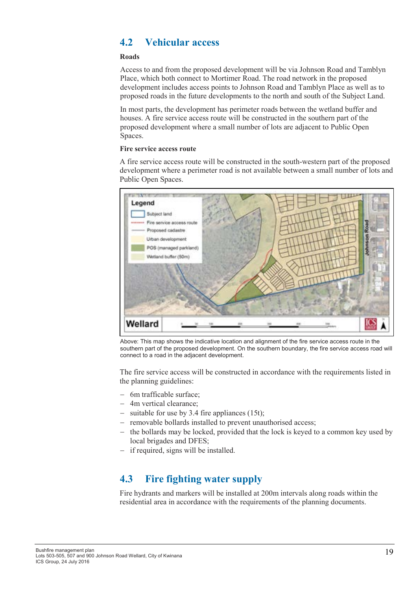### 4.2 Vehicular access

#### Roads

Access to and from the proposed development will be via Johnson Road and Tamblyn Place, which both connect to Mortimer Road. The road network in the proposed development includes access points to Johnson Road and Tamblyn Place as well as to proposed roads in the future developments to the north and south of the Subject Land.

In most parts, the development has perimeter roads between the wetland buffer and houses. A fire service access route will be constructed in the southern part of the proposed development where a small number of lots are adjacent to Public Open Spaces.

#### Fire service access route

A fire service access route will be constructed in the south-western part of the proposed development where a perimeter road is not available between a small number of lots and Public Open Spaces.



Above: This map shows the indicative location and alignment of the fire service access route in the southern part of the proposed development. On the southern boundary, the fire service access road will connect to a road in the adjacent development.

The fire service access will be constructed in accordance with the requirements listed in the planning guidelines:

- − 6m trafficable surface;
- − 4m vertical clearance;
- suitable for use by 3.4 fire appliances  $(15t)$ :
- − removable bollards installed to prevent unauthorised access;
- the bollards may be locked, provided that the lock is keyed to a common key used by local brigades and DFES;
- − if required, signs will be installed.

### 4.3 Fire fighting water supply

Fire hydrants and markers will be installed at 200m intervals along roads within the residential area in accordance with the requirements of the planning documents.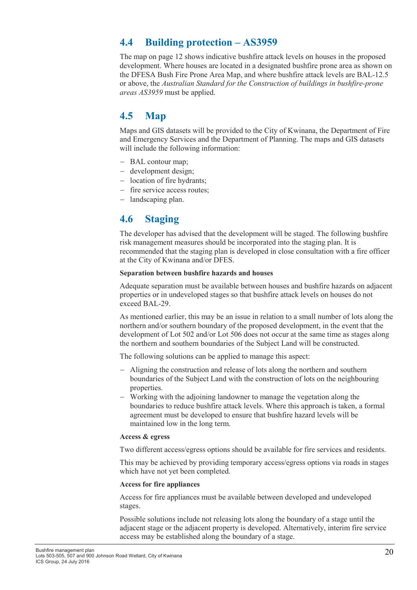### 4.4 Building protection – AS3959

The map on page 12 shows indicative bushfire attack levels on houses in the proposed development. Where houses are located in a designated bushfire prone area as shown on the DFESA Bush Fire Prone Area Map, and where bushfire attack levels are BAL-12.5 or above, the Australian Standard for the Construction of buildings in bushfire-prone areas AS3959 must be applied.

### 4.5 Map

Maps and GIS datasets will be provided to the City of Kwinana, the Department of Fire and Emergency Services and the Department of Planning. The maps and GIS datasets will include the following information:

- − BAL contour map;
- − development design;
- − location of fire hydrants;
- − fire service access routes;
- − landscaping plan.

### 4.6 Staging

The developer has advised that the development will be staged. The following bushfire risk management measures should be incorporated into the staging plan. It is recommended that the staging plan is developed in close consultation with a fire officer at the City of Kwinana and/or DFES.

#### Separation between bushfire hazards and houses

Adequate separation must be available between houses and bushfire hazards on adjacent properties or in undeveloped stages so that bushfire attack levels on houses do not exceed BAL-29.

As mentioned earlier, this may be an issue in relation to a small number of lots along the northern and/or southern boundary of the proposed development, in the event that the development of Lot 502 and/or Lot 506 does not occur at the same time as stages along the northern and southern boundaries of the Subject Land will be constructed.

The following solutions can be applied to manage this aspect:

- − Aligning the construction and release of lots along the northern and southern boundaries of the Subject Land with the construction of lots on the neighbouring properties.
- − Working with the adjoining landowner to manage the vegetation along the boundaries to reduce bushfire attack levels. Where this approach is taken, a formal agreement must be developed to ensure that bushfire hazard levels will be maintained low in the long term.

#### Access & egress

Two different access/egress options should be available for fire services and residents.

This may be achieved by providing temporary access/egress options via roads in stages which have not yet been completed.

#### Access for fire appliances

Access for fire appliances must be available between developed and undeveloped stages.

Possible solutions include not releasing lots along the boundary of a stage until the adjacent stage or the adjacent property is developed. Alternatively, interim fire service access may be established along the boundary of a stage.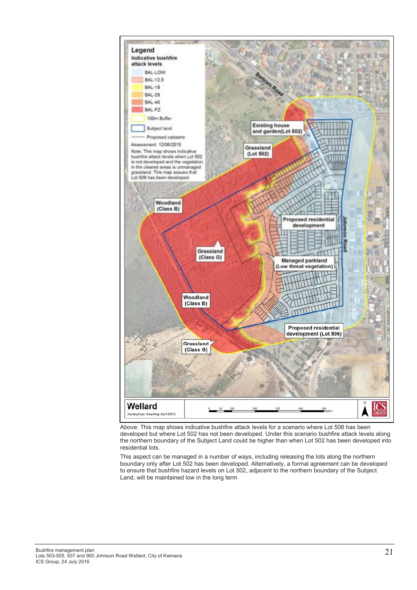

Above: This map shows indicative bushfire attack levels for a scenario where Lot 506 has been developed but where Lot 502 has not been developed. Under this scenario bushfire attack levels along the northern boundary of the Subject Land could be higher than when Lot 502 has been developed into residential lots.

This aspect can be managed in a number of ways, including releasing the lots along the northern boundary only after Lot 502 has been developed. Alternatively, a formal agreement can be developed to ensure that bushfire hazard levels on Lot 502, adjacent to the northern boundary of the Subject Land, will be maintained low in the long term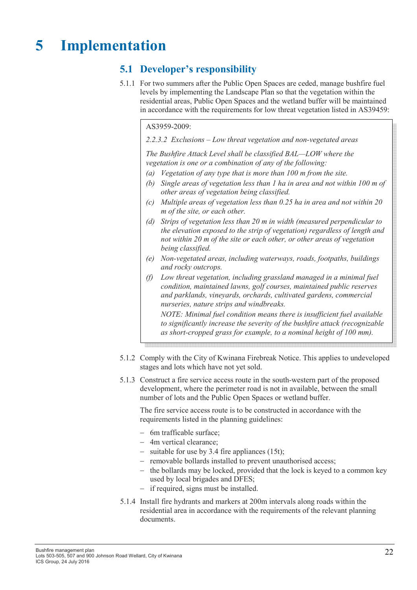## 5 Implementation

### 5.1 Developer's responsibility

5.1.1 For two summers after the Public Open Spaces are ceded, manage bushfire fuel levels by implementing the Landscape Plan so that the vegetation within the residential areas, Public Open Spaces and the wetland buffer will be maintained in accordance with the requirements for low threat vegetation listed in AS39459:

#### AS3959-2009:

#### 2.2.3.2 Exclusions – Low threat vegetation and non-vegetated areas

The Bushfire Attack Level shall be classified BAL—LOW where the vegetation is one or a combination of any of the following:

- (a) Vegetation of any type that is more than 100 m from the site.
- (b) Single areas of vegetation less than 1 ha in area and not within 100 m of other areas of vegetation being classified.
- (c) Multiple areas of vegetation less than 0.25 ha in area and not within 20 m of the site, or each other.
- (d) Strips of vegetation less than 20 m in width (measured perpendicular to the elevation exposed to the strip of vegetation) regardless of length and not within 20 m of the site or each other, or other areas of vegetation being classified.
- (e) Non-vegetated areas, including waterways, roads, footpaths, buildings and rocky outcrops.
- (f) Low threat vegetation, including grassland managed in a minimal fuel condition, maintained lawns, golf courses, maintained public reserves and parklands, vineyards, orchards, cultivated gardens, commercial nurseries, nature strips and windbreaks. NOTE: Minimal fuel condition means there is insufficient fuel available

to significantly increase the severity of the bushfire attack (recognizable as short-cropped grass for example, to a nominal height of 100 mm).

- 5.1.2 Comply with the City of Kwinana Firebreak Notice. This applies to undeveloped stages and lots which have not yet sold.
- 5.1.3 Construct a fire service access route in the south-western part of the proposed development, where the perimeter road is not in available, between the small number of lots and the Public Open Spaces or wetland buffer.

The fire service access route is to be constructed in accordance with the requirements listed in the planning guidelines:

- − 6m trafficable surface;
- − 4m vertical clearance;
- − suitable for use by 3.4 fire appliances (15t);
- − removable bollards installed to prevent unauthorised access;
- − the bollards may be locked, provided that the lock is keyed to a common key used by local brigades and DFES;
- − if required, signs must be installed.
- 5.1.4 Install fire hydrants and markers at 200m intervals along roads within the residential area in accordance with the requirements of the relevant planning documents.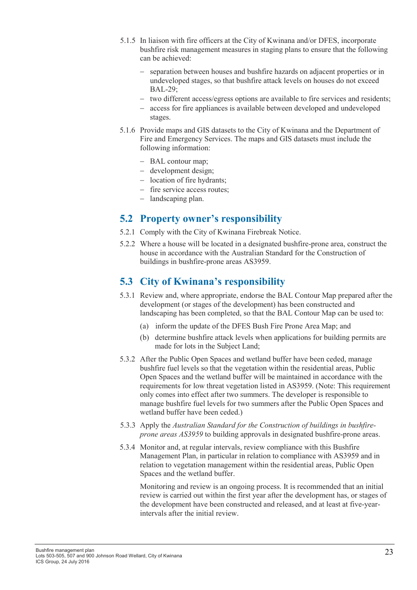- 5.1.5 In liaison with fire officers at the City of Kwinana and/or DFES, incorporate bushfire risk management measures in staging plans to ensure that the following can be achieved:
	- separation between houses and bushfire hazards on adjacent properties or in undeveloped stages, so that bushfire attack levels on houses do not exceed BAL-29;
	- − two different access/egress options are available to fire services and residents;
	- − access for fire appliances is available between developed and undeveloped stages.
- 5.1.6 Provide maps and GIS datasets to the City of Kwinana and the Department of Fire and Emergency Services. The maps and GIS datasets must include the following information:
	- − BAL contour map;
	- − development design;
	- − location of fire hydrants;
	- − fire service access routes;
	- − landscaping plan.

### 5.2 Property owner's responsibility

- 5.2.1 Comply with the City of Kwinana Firebreak Notice.
- 5.2.2 Where a house will be located in a designated bushfire-prone area, construct the house in accordance with the Australian Standard for the Construction of buildings in bushfire-prone areas AS3959.

### 5.3 City of Kwinana's responsibility

- 5.3.1 Review and, where appropriate, endorse the BAL Contour Map prepared after the development (or stages of the development) has been constructed and landscaping has been completed, so that the BAL Contour Map can be used to:
	- (a) inform the update of the DFES Bush Fire Prone Area Map; and
	- (b) determine bushfire attack levels when applications for building permits are made for lots in the Subject Land;
- 5.3.2 After the Public Open Spaces and wetland buffer have been ceded, manage bushfire fuel levels so that the vegetation within the residential areas, Public Open Spaces and the wetland buffer will be maintained in accordance with the requirements for low threat vegetation listed in AS3959. (Note: This requirement only comes into effect after two summers. The developer is responsible to manage bushfire fuel levels for two summers after the Public Open Spaces and wetland buffer have been ceded.)
- 5.3.3 Apply the Australian Standard for the Construction of buildings in bushfireprone areas AS3959 to building approvals in designated bushfire-prone areas.
- 5.3.4 Monitor and, at regular intervals, review compliance with this Bushfire Management Plan, in particular in relation to compliance with AS3959 and in relation to vegetation management within the residential areas, Public Open Spaces and the wetland buffer.

Monitoring and review is an ongoing process. It is recommended that an initial review is carried out within the first year after the development has, or stages of the development have been constructed and released, and at least at five-yearintervals after the initial review.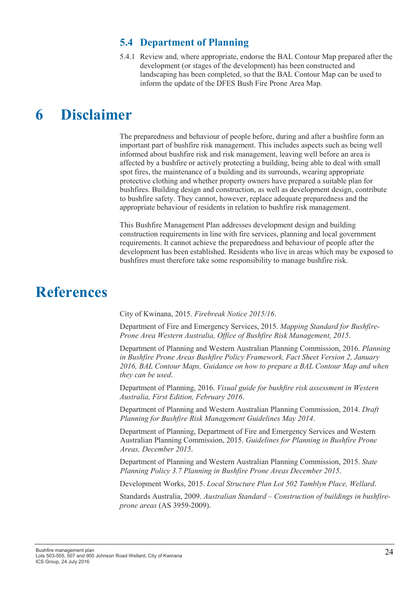### 5.4 Department of Planning

5.4.1 Review and, where appropriate, endorse the BAL Contour Map prepared after the development (or stages of the development) has been constructed and landscaping has been completed, so that the BAL Contour Map can be used to inform the update of the DFES Bush Fire Prone Area Map.

## 6 Disclaimer

The preparedness and behaviour of people before, during and after a bushfire form an important part of bushfire risk management. This includes aspects such as being well informed about bushfire risk and risk management, leaving well before an area is affected by a bushfire or actively protecting a building, being able to deal with small spot fires, the maintenance of a building and its surrounds, wearing appropriate protective clothing and whether property owners have prepared a suitable plan for bushfires. Building design and construction, as well as development design, contribute to bushfire safety. They cannot, however, replace adequate preparedness and the appropriate behaviour of residents in relation to bushfire risk management.

This Bushfire Management Plan addresses development design and building construction requirements in line with fire services, planning and local government requirements. It cannot achieve the preparedness and behaviour of people after the development has been established. Residents who live in areas which may be exposed to bushfires must therefore take some responsibility to manage bushfire risk.

## **References**

City of Kwinana, 2015. Firebreak Notice 2015/16.

Department of Fire and Emergency Services, 2015. Mapping Standard for Bushfire-Prone Area Western Australia, Office of Bushfire Risk Management, 2015.

Department of Planning and Western Australian Planning Commission, 2016. Planning in Bushfire Prone Areas Bushfire Policy Framework, Fact Sheet Version 2, January 2016, BAL Contour Maps, Guidance on how to prepare a BAL Contour Map and when they can be used.

Department of Planning, 2016. Visual guide for bushfire risk assessment in Western Australia, First Edition, February 2016.

Department of Planning and Western Australian Planning Commission, 2014. Draft Planning for Bushfire Risk Management Guidelines May 2014.

Department of Planning, Department of Fire and Emergency Services and Western Australian Planning Commission, 2015. Guidelines for Planning in Bushfire Prone Areas, December 2015.

Department of Planning and Western Australian Planning Commission, 2015. State Planning Policy 3.7 Planning in Bushfire Prone Areas December 2015.

Development Works, 2015. Local Structure Plan Lot 502 Tamblyn Place, Wellard.

Standards Australia, 2009. Australian Standard – Construction of buildings in bushfireprone areas (AS 3959-2009).